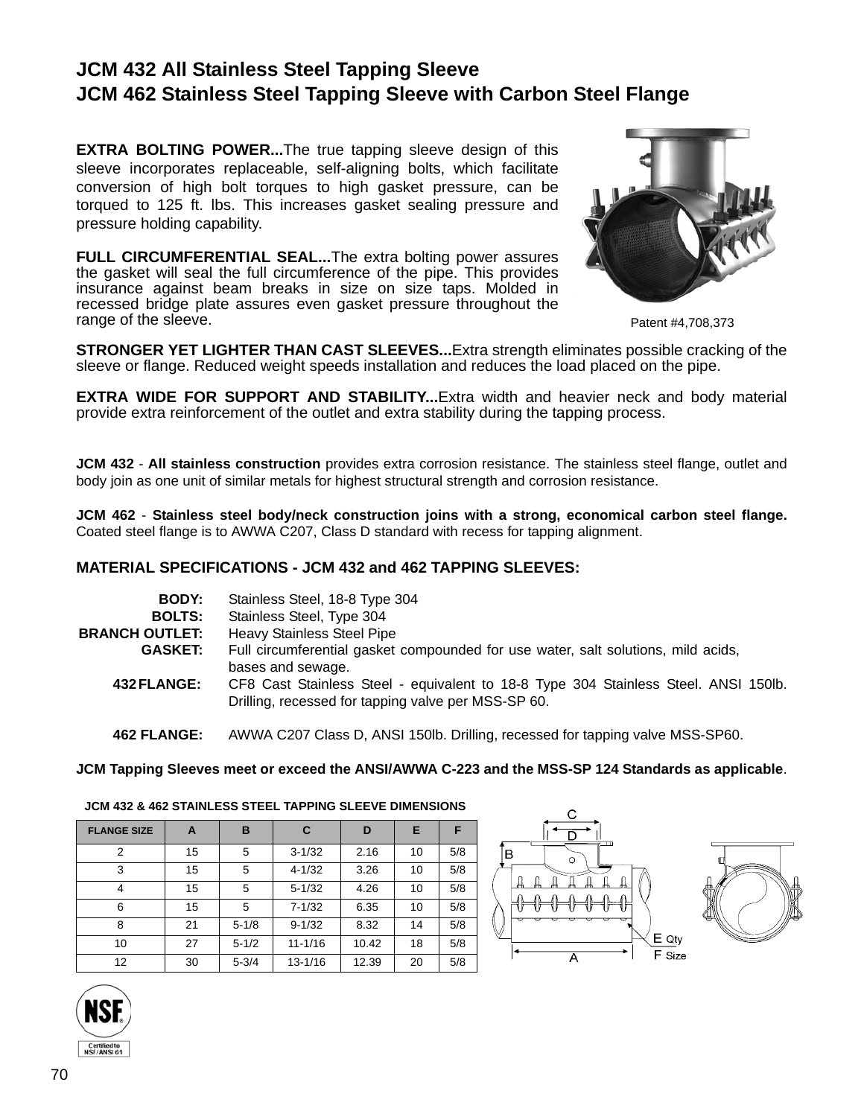## **JCM 432 All Stainless Steel Tapping Sleeve JCM 462 Stainless Steel Tapping Sleeve with Carbon Steel Flange**

**EXTRA BOLTING POWER...The true tapping sleeve design of this** sleeve incorporates replaceable, self-aligning bolts, which facilitate conversion of high bolt torques to high gasket pressure, can be torqued to 125 ft. lbs. This increases gasket sealing pressure and pressure holding capability.

**FULL CIRCUMFERENTIAL SEAL...The extra bolting power assures** the gasket will seal the full circumference of the pipe. This provides insurance against beam breaks in size on size taps. Molded in recessed bridge plate assures even gasket pressure throughout the range of the sleeve.



Patent #4,708,373

**STRONGER YET LIGHTER THAN CAST SLEEVES...**Extra strength eliminates possible cracking of the sleeve or flange. Reduced weight speeds installation and reduces the load placed on the pipe.

**EXTRA WIDE FOR SUPPORT AND STABILITY...**Extra width and heavier neck and body material provide extra reinforcement of the outlet and extra stability during the tapping process.

**JCM 432** - **All stainless construction** provides extra corrosion resistance. The stainless steel flange, outlet and body join as one unit of similar metals for highest structural strength and corrosion resistance.

**JCM 462** - **Stainless steel body/neck construction joins with a strong, economical carbon steel flange.** Coated steel flange is to AWWA C207, Class D standard with recess for tapping alignment.

## **MATERIAL SPECIFICATIONS - JCM 432 and 462 TAPPING SLEEVES:**

| <b>BODY:</b>          | Stainless Steel, 18-8 Type 304                                                                                                             |
|-----------------------|--------------------------------------------------------------------------------------------------------------------------------------------|
| <b>BOLTS:</b>         | Stainless Steel, Type 304                                                                                                                  |
| <b>BRANCH OUTLET:</b> | <b>Heavy Stainless Steel Pipe</b>                                                                                                          |
| <b>GASKET:</b>        | Full circumferential gasket compounded for use water, salt solutions, mild acids,<br>bases and sewage.                                     |
| <b>432 FLANGE:</b>    | CF8 Cast Stainless Steel - equivalent to 18-8 Type 304 Stainless Steel. ANSI 150lb.<br>Drilling, recessed for tapping valve per MSS-SP 60. |
|                       |                                                                                                                                            |

**462 FLANGE:** AWWA C207 Class D, ANSI 150lb. Drilling, recessed for tapping valve MSS-SP60.

**JCM Tapping Sleeves meet or exceed the ANSI/AWWA C-223 and the MSS-SP 124 Standards as applicable**.

| <b>FLANGE SIZE</b> | A  | в         | C           | D     | Е  | F   |
|--------------------|----|-----------|-------------|-------|----|-----|
| 2                  | 15 | 5         | $3 - 1/32$  | 2.16  | 10 | 5/8 |
| 3                  | 15 | 5         | $4 - 1/32$  | 3.26  | 10 | 5/8 |
| 4                  | 15 | 5         | $5 - 1/32$  | 4.26  | 10 | 5/8 |
| 6                  | 15 | 5         | $7 - 1/32$  | 6.35  | 10 | 5/8 |
| 8                  | 21 | $5 - 1/8$ | $9 - 1/32$  | 8.32  | 14 | 5/8 |
| 10                 | 27 | $5 - 1/2$ | $11 - 1/16$ | 10.42 | 18 | 5/8 |
| 12                 | 30 | $5 - 3/4$ | $13 - 1/16$ | 12.39 | 20 | 5/8 |

**JCM 432 & 462 STAINLESS STEEL TAPPING SLEEVE DIMENSIONS**